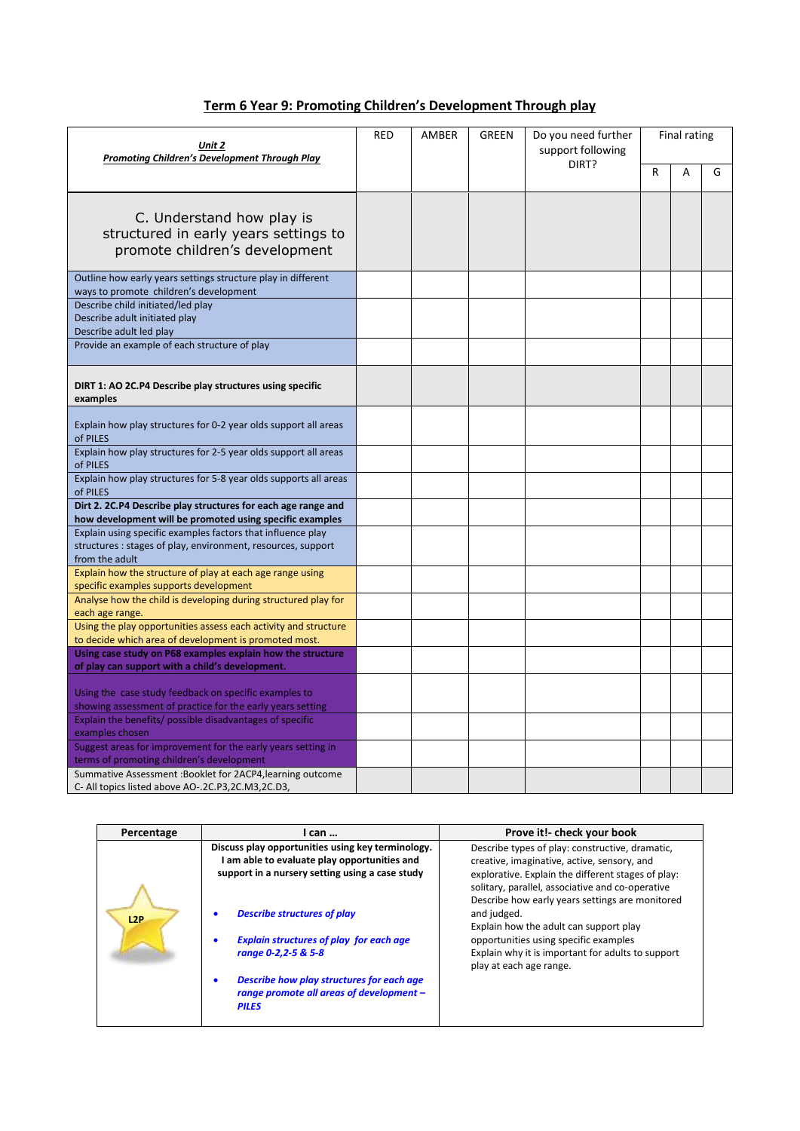| Term 6 Year 9: Promoting Children's Development Through play |
|--------------------------------------------------------------|
|                                                              |

| Unit 2<br><b>Promoting Children's Development Through Play</b>                                                                                |  | <b>RED</b><br><b>GREEN</b><br>AMBER |  | Do you need further<br>support following | Final rating |   |   |
|-----------------------------------------------------------------------------------------------------------------------------------------------|--|-------------------------------------|--|------------------------------------------|--------------|---|---|
|                                                                                                                                               |  |                                     |  | DIRT?                                    | R            | А | G |
| C. Understand how play is<br>structured in early years settings to<br>promote children's development                                          |  |                                     |  |                                          |              |   |   |
| Outline how early years settings structure play in different<br>ways to promote children's development                                        |  |                                     |  |                                          |              |   |   |
| Describe child initiated/led play<br>Describe adult initiated play<br>Describe adult led play                                                 |  |                                     |  |                                          |              |   |   |
| Provide an example of each structure of play                                                                                                  |  |                                     |  |                                          |              |   |   |
| DIRT 1: AO 2C.P4 Describe play structures using specific<br>examples                                                                          |  |                                     |  |                                          |              |   |   |
| Explain how play structures for 0-2 year olds support all areas<br>of PILES                                                                   |  |                                     |  |                                          |              |   |   |
| Explain how play structures for 2-5 year olds support all areas<br>of PILES                                                                   |  |                                     |  |                                          |              |   |   |
| Explain how play structures for 5-8 year olds supports all areas<br>of PILES                                                                  |  |                                     |  |                                          |              |   |   |
| Dirt 2. 2C.P4 Describe play structures for each age range and<br>how development will be promoted using specific examples                     |  |                                     |  |                                          |              |   |   |
| Explain using specific examples factors that influence play<br>structures : stages of play, environment, resources, support<br>from the adult |  |                                     |  |                                          |              |   |   |
| Explain how the structure of play at each age range using<br>specific examples supports development                                           |  |                                     |  |                                          |              |   |   |
| Analyse how the child is developing during structured play for<br>each age range.                                                             |  |                                     |  |                                          |              |   |   |
| Using the play opportunities assess each activity and structure<br>to decide which area of development is promoted most.                      |  |                                     |  |                                          |              |   |   |
| Using case study on P68 examples explain how the structure<br>of play can support with a child's development.                                 |  |                                     |  |                                          |              |   |   |
| Using the case study feedback on specific examples to<br>showing assessment of practice for the early years setting                           |  |                                     |  |                                          |              |   |   |
| Explain the benefits/ possible disadvantages of specific<br>examples chosen                                                                   |  |                                     |  |                                          |              |   |   |
| Suggest areas for improvement for the early years setting in<br>terms of promoting children's development                                     |  |                                     |  |                                          |              |   |   |
| Summative Assessment: Booklet for 2ACP4, learning outcome<br>C- All topics listed above AO-.2C.P3,2C.M3,2C.D3,                                |  |                                     |  |                                          |              |   |   |

| Percentage | I can                                                                                                                                                                                                                                                             | Prove it!- check your book                                                                                                                                                                                                                                                                                                                                                                                                                    |
|------------|-------------------------------------------------------------------------------------------------------------------------------------------------------------------------------------------------------------------------------------------------------------------|-----------------------------------------------------------------------------------------------------------------------------------------------------------------------------------------------------------------------------------------------------------------------------------------------------------------------------------------------------------------------------------------------------------------------------------------------|
| L2P        | Discuss play opportunities using key terminology.<br>am able to evaluate play opportunities and<br>support in a nursery setting using a case study<br><b>Describe structures of play</b><br><b>Explain structures of play for each age</b><br>range 0-2,2-5 & 5-8 | Describe types of play: constructive, dramatic,<br>creative, imaginative, active, sensory, and<br>explorative. Explain the different stages of play:<br>solitary, parallel, associative and co-operative<br>Describe how early years settings are monitored<br>and judged.<br>Explain how the adult can support play<br>opportunities using specific examples<br>Explain why it is important for adults to support<br>play at each age range. |
|            | Describe how play structures for each age<br>range promote all areas of development -<br><b>PILES</b>                                                                                                                                                             |                                                                                                                                                                                                                                                                                                                                                                                                                                               |